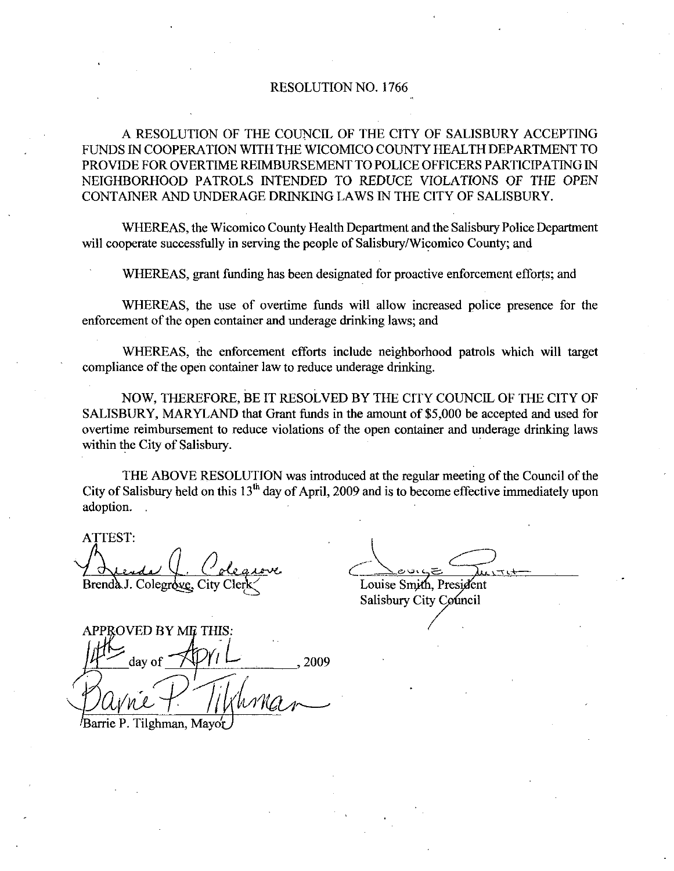## RESOLUTION NO. 1766

A RESOLUTION OF THE COUNCIL OF THE CITY OF SALISBURY ACCEPTING FUNDS IN COOPERATION WITHTHE WICOMICO COUNTY HEALTHDEPARTMENT TO PROVIDE FOR OVERTIME REIMBURSEMENT TO POLICE OFFICERS PARTICIPATING IN NEIGHBORHOOD PATROLS INTENDED TO REDUCE VIOLATIONS OF THE OPEN CONTAINER AND UNDERAGE DRINKING LAWS IN THE CITY OF SALISBURY

WHEREAS, the Wicomico County Health Department and the Salisbury Police Department will cooperate successfully in serving the people of Salisbury/Wicomico County; and

WHEREAS, grant funding has been designated for proactive enforcement efforts; and

WHEREAS, the use of overtime funds will allow increased police presence for the enforcement of the open container and underage drinking laws; and

WHEREAS, the enforcement efforts include neighborhood patrols which will target compliance of the open container law to reduce underage drinking

NOW, THEREFORE, BE IT RESOLVED BY THE CITY COUNCIL OF THE CITY OF SALISBURY, MARYLAND that Grant funds in the amount of \$5,000 be accepted and used for overtime reimbursement to reduce violations of the open container and underage drinking laws within the City of Salisbury.

THE ABOVE RESOLUTION was introduced at the regular meeting of the Council of the City of Salisbury held on this  $13<sup>th</sup>$  day of April, 2009 and is to become effective immediately upon adoption

ATTEST Brenda J. Colegrove, City Clerk Louise Smith, President

Salisbury City Council

APPROVED BY ME THIS:  $\frac{Z_{\text{day of}}}{Z_{\text{up.}}^{2009}}$ 

Barrie P. Tilghman, Mayor